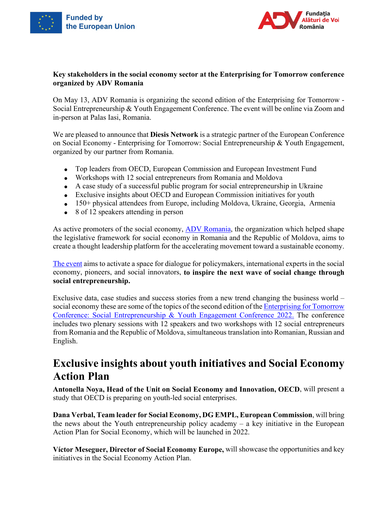



#### **Key stakeholders in the social economy sector at the Enterprising for Tomorrow conference organized by ADV Romania**

On May 13, ADV Romania is organizing the second edition of the Enterprising for Tomorrow - Social Entrepreneurship & Youth Engagement Conference. The event will be online via Zoom and in-person at Palas Iasi, Romania.

We are pleased to announce that **Diesis Network** is a strategic partner of the European Conference on Social Economy - Enterprising for Tomorrow: Social Entrepreneurship & Youth Engagement, organized by our partner from Romania.

- Top leaders from OECD, European Commission and European Investment Fund
- Workshops with 12 social entrepreneurs from Romania and Moldova
- A case study of a successful public program for social entrepreneurship in Ukraine
- Exclusive insights about OECD and European Commission initiatives for youth
- 150+ physical attendees from Europe, including Moldova, Ukraine, Georgia, Armenia
- 8 of 12 speakers attending in person

As active promoters of the social economy, [ADV Romania,](https://alaturidevoi.ro/en/) the organization which helped shape the legislative framework for social economy in Romania and the Republic of Moldova, aims to create a thought leadership platform for the accelerating movement toward a sustainable economy.

[The event](https://bit.ly/3EUDeT9) aims to activate a space for dialogue for policymakers, international experts in the social economy, pioneers, and social innovators, **to inspire the next wave of social change through social entrepreneurship.**

Exclusive data, case studies and success stories from a new trend changing the business world – social economy these are some of the topics of the second edition of th[e Enterprising for Tomorrow](https://bit.ly/3EUDeT9)  [Conference: Social Entrepreneurship & Youth Engagement Conference 2022.](https://bit.ly/3EUDeT9) The conference includes two plenary sessions with 12 speakers and two workshops with 12 social entrepreneurs from Romania and the Republic of Moldova, simultaneous translation into Romanian, Russian and English.

### **Exclusive insights about youth initiatives and Social Economy Action Plan**

**Antonella Noya, Head of the Unit on Social Economy and Innovation, OECD**, will present a study that OECD is preparing on youth-led social enterprises.

**Dana Verbal, Team leader for Social Economy, DG EMPL, European Commission**, will bring the news about the Youth entrepreneurship policy academy – a key initiative in the European Action Plan for Social Economy, which will be launched in 2022.

**Víctor Meseguer, Director of Social Economy Europe,** will showcase the opportunities and key initiatives in the Social Economy Action Plan.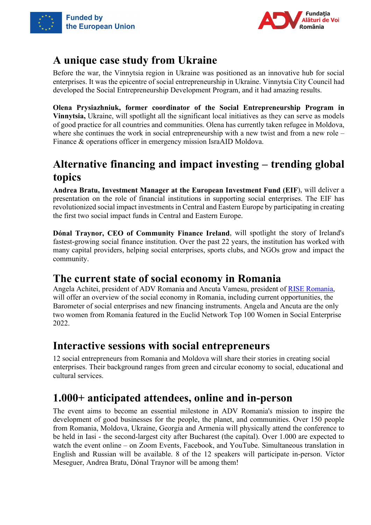



#### **A unique case study from Ukraine**

Before the war, the Vinnytsia region in Ukraine was positioned as an innovative hub for social enterprises. It was the epicentre of social entrepreneurship in Ukraine. Vinnytsia City Council had developed the Social Entrepreneurship Development Program, and it had amazing results.

**Olena Prysiazhniuk, former coordinator of the Social Entrepreneurship Program in Vinnytsia,** Ukraine, will spotlight all the significant local initiatives as they can serve as models of good practice for all countries and communities. Olena has currently taken refugee in Moldova, where she continues the work in social entrepreneurship with a new twist and from a new role – Finance & operations officer in emergency mission IsraAID Moldova.

# **Alternative financing and impact investing – trending global topics**

**Andrea Bratu, Investment Manager at the European Investment Fund (EIF**), will deliver a presentation on the role of financial institutions in supporting social enterprises. The EIF has revolutionized social impact investments in Central and Eastern Europe by participating in creating the first two social impact funds in Central and Eastern Europe.

**Dónal Traynor, CEO of Community Finance Ireland**, will spotlight the story of Ireland's fastest-growing social finance institution. Over the past 22 years, the institution has worked with many capital providers, helping social enterprises, sports clubs, and NGOs grow and impact the community.

#### **The current state of social economy in Romania**

Angela Achitei, president of ADV Romania and Ancuta Vamesu, president of [RISE Romania,](https://riseromania.ro/) will offer an overview of the social economy in Romania, including current opportunities, the Barometer of social enterprises and new financing instruments. Angela and Ancuta are the only two women from Romania featured in the Euclid Network Top 100 Women in Social Enterprise 2022.

#### **Interactive sessions with social entrepreneurs**

12 social entrepreneurs from Romania and Moldova will share their stories in creating social enterprises. Their background ranges from green and circular economy to social, educational and cultural services.

## **1.000+ anticipated attendees, online and in-person**

The event aims to become an essential milestone in ADV Romania's mission to inspire the development of good businesses for the people, the planet, and communities. Over 150 people from Romania, Moldova, Ukraine, Georgia and Armenia will physically attend the conference to be held in Iasi - the second-largest city after Bucharest (the capital). Over 1.000 are expected to watch the event online – on Zoom Events, Facebook, and YouTube. Simultaneous translation in English and Russian will be available. 8 of the 12 speakers will participate in-person. Víctor Meseguer, Andrea Bratu, Dónal Traynor will be among them!